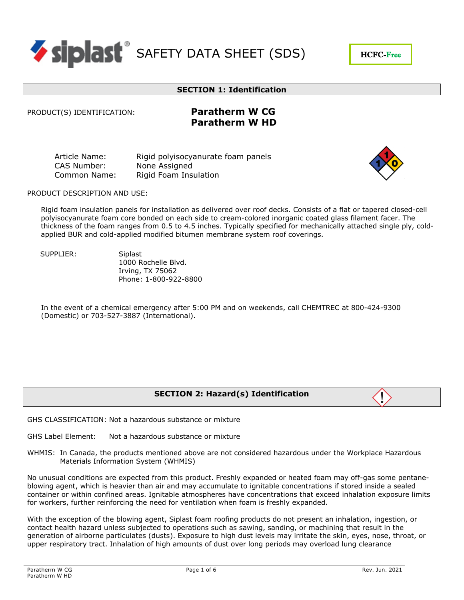

### **SECTION 1: Identification**

PRODUCT(S) IDENTIFICATION: **Paratherm W CG**

# **Paratherm W HD**

Article Name: Rigid polyisocyanurate foam panels CAS Number: None Assigned Common Name: Rigid Foam Insulation



HCFC-Free

PRODUCT DESCRIPTION AND USE:

Rigid foam insulation panels for installation as delivered over roof decks. Consists of a flat or tapered closed-cell polyisocyanurate foam core bonded on each side to cream-colored inorganic coated glass filament facer. The thickness of the foam ranges from 0.5 to 4.5 inches. Typically specified for mechanically attached single ply, coldapplied BUR and cold-applied modified bitumen membrane system roof coverings.

SUPPLIER: Siplast

1000 Rochelle Blvd. Irving, TX 75062 Phone: 1-800-922-8800

In the event of a chemical emergency after 5:00 PM and on weekends, call CHEMTREC at 800-424-9300 (Domestic) or 703-527-3887 (International).

# **SECTION 2: Hazard(s) Identification**



GHS Label Element: Not a hazardous substance or mixture

WHMIS: In Canada, the products mentioned above are not considered hazardous under the Workplace Hazardous Materials Information System (WHMIS)

No unusual conditions are expected from this product. Freshly expanded or heated foam may off-gas some pentaneblowing agent, which is heavier than air and may accumulate to ignitable concentrations if stored inside a sealed container or within confined areas. Ignitable atmospheres have concentrations that exceed inhalation exposure limits for workers, further reinforcing the need for ventilation when foam is freshly expanded.

With the exception of the blowing agent, Siplast foam roofing products do not present an inhalation, ingestion, or contact health hazard unless subjected to operations such as sawing, sanding, or machining that result in the generation of airborne particulates (dusts). Exposure to high dust levels may irritate the skin, eyes, nose, throat, or upper respiratory tract. Inhalation of high amounts of dust over long periods may overload lung clearance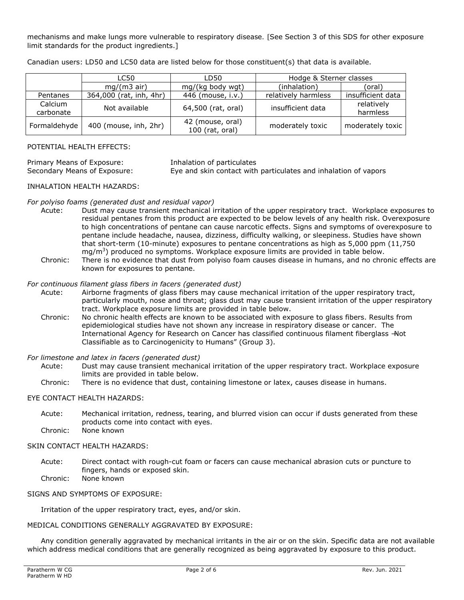mechanisms and make lungs more vulnerable to respiratory disease. [See Section 3 of this SDS for other exposure limit standards for the product ingredients.]

|                      | LC50                    | LD50                                | Hodge & Sterner classes |                        |
|----------------------|-------------------------|-------------------------------------|-------------------------|------------------------|
|                      | $mg/(m3$ air)           | mg/(kg body wgt)                    | (inhalation)            | (oral)                 |
| Pentanes             | 364,000 (rat, inh, 4hr) | 446 (mouse, i.v.)                   | relatively harmless     | insufficient data      |
| Calcium<br>carbonate | Not available           | 64,500 (rat, oral)                  | insufficient data       | relatively<br>harmless |
| Formaldehyde         | 400 (mouse, inh, 2hr)   | 42 (mouse, oral)<br>100 (rat, oral) | moderately toxic        | moderately toxic       |

Canadian users: LD50 and LC50 data are listed below for those constituent(s) that data is available.

#### POTENTIAL HEALTH EFFECTS:

Primary Means of Exposure: Inhalation of particulates<br>Secondary Means of Exposure: Eye and skin contact with

Eye and skin contact with particulates and inhalation of vapors

#### INHALATION HEALTH HAZARDS:

#### *For polyiso foams (generated dust and residual vapor)*

- Acute: Dust may cause transient mechanical irritation of the upper respiratory tract. Workplace exposures to residual pentanes from this product are expected to be below levels of any health risk. Overexposure to high concentrations of pentane can cause narcotic effects. Signs and symptoms of overexposure to pentane include headache, nausea, dizziness, difficulty walking, or sleepiness. Studies have shown that short-term (10-minute) exposures to pentane concentrations as high as 5,000 ppm (11,750 mg/m<sup>3</sup>) produced no symptoms. Workplace exposure limits are provided in table below.
- Chronic: There is no evidence that dust from polyiso foam causes disease in humans, and no chronic effects are known for exposures to pentane.

#### *For continuous filament glass fibers in facers (generated dust)*

- Acute: Airborne fragments of glass fibers may cause mechanical irritation of the upper respiratory tract, particularly mouth, nose and throat; glass dust may cause transient irritation of the upper respiratory tract. Workplace exposure limits are provided in table below.
- Chronic: No chronic health effects are known to be associated with exposure to glass fibers. Results from epidemiological studies have not shown any increase in respiratory disease or cancer. The International Agency for Research on Cancer has classified continuous filament fiberglass ―Not Classifiable as to Carcinogenicity to Humans" (Group 3).

#### *For limestone and latex in facers (generated dust)*

- Acute: Dust may cause transient mechanical irritation of the upper respiratory tract. Workplace exposure limits are provided in table below.
- Chronic: There is no evidence that dust, containing limestone or latex, causes disease in humans.

#### EYE CONTACT HEALTH HAZARDS:

Acute: Mechanical irritation, redness, tearing, and blurred vision can occur if dusts generated from these products come into contact with eyes. Chronic: None known

# SKIN CONTACT HEALTH HAZARDS:

- Acute: Direct contact with rough-cut foam or facers can cause mechanical abrasion cuts or puncture to fingers, hands or exposed skin. Chronic: None known
- 

# SIGNS AND SYMPTOMS OF EXPOSURE:

Irritation of the upper respiratory tract, eyes, and/or skin.

# MEDICAL CONDITIONS GENERALLY AGGRAVATED BY EXPOSURE:

Any condition generally aggravated by mechanical irritants in the air or on the skin. Specific data are not available which address medical conditions that are generally recognized as being aggravated by exposure to this product.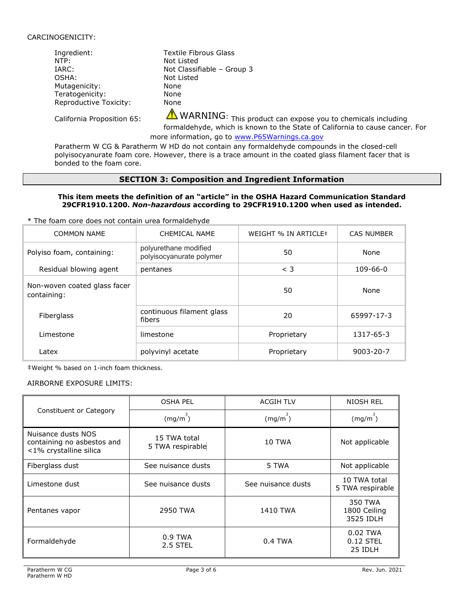#### CARCINOGENICITY:

| Ingredient:            | Textile Fibrous Glass      |
|------------------------|----------------------------|
| NTP:                   | Not Listed                 |
| IARC:                  | Not Classifiable - Group 3 |
| OSHA:                  | Not Listed                 |
| Mutagenicity:          | None                       |
| Teratogenicity:        | None                       |
| Reproductive Toxicity: | None                       |
|                        |                            |

California Proposition 65:  $\triangle$  WARNING: This product can expose you to chemicals including formaldehyde, which is known to the State of California to cause cancer. For

more information, go to ww[w.P65Warnings.ca.gov](http://www.p65warnings.ca.gov/)

Paratherm W CG & Paratherm W HD do not contain any formaldehyde compounds in the closed-cell polyisocyanurate foam core. However, there is a trace amount in the coated glass filament facer that is bonded to the foam core.

# **SECTION 3: Composition and Ingredient Information**

#### **This item meets the definition of an "article" in the OSHA Hazard Communication Standard 29CFR1910.1200.** *Non-hazardous* **according to 29CFR1910.1200 when used as intended.**

\* The foam core does not contain urea formaldehyde

| <b>COMMON NAME</b>                          | CHEMICAL NAME                                     | WEIGHT % IN ARTICLE# | <b>CAS NUMBER</b> |
|---------------------------------------------|---------------------------------------------------|----------------------|-------------------|
| Polyiso foam, containing:                   | polyurethane modified<br>polyisocyanurate polymer | 50                   | None              |
| Residual blowing agent                      | pentanes                                          | $<$ 3                | $109 - 66 - 0$    |
| Non-woven coated glass facer<br>containing: |                                                   | 50                   | None              |
| Fiberglass                                  | continuous filament glass<br>fibers               | 20                   | 65997-17-3        |
| I imestone                                  | limestone                                         | Proprietary          | 1317-65-3         |
| Latex                                       | polyvinyl acetate                                 | Proprietary          | $9003 - 20 - 7$   |

‡Weight % based on 1-inch foam thickness.

#### AIRBORNE EXPOSURE LIMITS:

|                                                                            | <b>OSHA PEL</b>                  | <b>ACGIH TLV</b>   | NIOSH REL                            |
|----------------------------------------------------------------------------|----------------------------------|--------------------|--------------------------------------|
| Constituent or Category                                                    | $(mg/m^3)$                       | (mg/m)             | (mg/m)                               |
| Nuisance dusts NOS<br>containing no asbestos and<br><1% crystalline silica | 15 TWA total<br>5 TWA respirable | <b>10 TWA</b>      | Not applicable                       |
| Fiberglass dust                                                            | See nuisance dusts               | 5 TWA              | Not applicable                       |
| Limestone dust                                                             | See nuisance dusts               | See nuisance dusts | 10 TWA total<br>5 TWA respirable     |
| Pentanes vapor                                                             | 2950 TWA                         | 1410 TWA           | 350 TWA<br>1800 Ceiling<br>3525 IDLH |
| Formaldehyde                                                               | $0.9$ TWA<br>2.5 STEL            | $0.4$ TWA          | $0.02$ TWA<br>$0.12$ STEL<br>25 IDLH |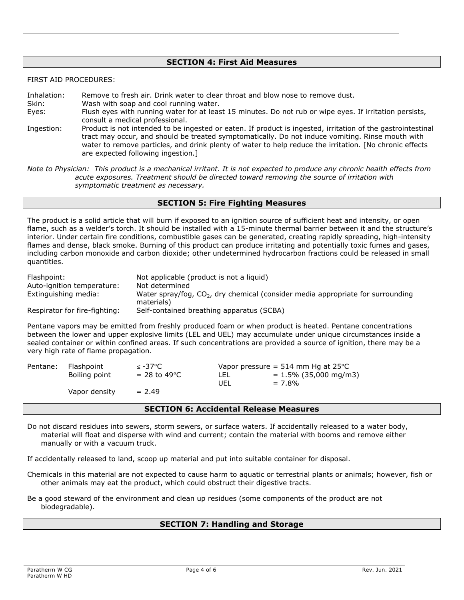# **SECTION 4: First Aid Measures**

FIRST AID PROCEDURES:

Inhalation: Remove to fresh air. Drink water to clear throat and blow nose to remove dust. Skin: Wash with soap and cool running water. Eyes: Flush eyes with running water for at least 15 minutes. Do not rub or wipe eyes. If irritation persists, consult a medical professional. Ingestion: Product is not intended to be ingested or eaten. If product is ingested, irritation of the gastrointestinal tract may occur, and should be treated symptomatically. Do not induce vomiting. Rinse mouth with water to remove particles, and drink plenty of water to help reduce the irritation. [No chronic effects are expected following ingestion.]

*Note to Physician: This product is a mechanical irritant. It is not expected to produce any chronic health effects from acute exposures. Treatment should be directed toward removing the source of irritation with symptomatic treatment as necessary.* 

# **SECTION 5: Fire Fighting Measures**

The product is a solid article that will burn if exposed to an ignition source of sufficient heat and intensity, or open flame, such as a welder's torch. It should be installed with a 15-minute thermal barrier between it and the structure's interior. Under certain fire conditions, combustible gases can be generated, creating rapidly spreading, high-intensity flames and dense, black smoke. Burning of this product can produce irritating and potentially toxic fumes and gases, including carbon monoxide and carbon dioxide; other undetermined hydrocarbon fractions could be released in small quantities.

| Flashpoint:<br>Auto-ignition temperature: | Not applicable (product is not a liquid)<br>Not determined                                      |
|-------------------------------------------|-------------------------------------------------------------------------------------------------|
|                                           |                                                                                                 |
| Extinguishing media:                      | Water spray/fog, $CO2$ , dry chemical (consider media appropriate for surrounding<br>materials) |
| Respirator for fire-fighting:             | Self-contained breathing apparatus (SCBA)                                                       |

Pentane vapors may be emitted from freshly produced foam or when product is heated. Pentane concentrations between the lower and upper explosive limits (LEL and UEL) may accumulate under unique circumstances inside a sealed container or within confined areas. If such concentrations are provided a source of ignition, there may be a very high rate of flame propagation.

| Pentane: | Flashpoint    | $\leq$ -37°C    | Vapor pressure = $514$ mm Hg at $25^{\circ}$ C |                          |
|----------|---------------|-----------------|------------------------------------------------|--------------------------|
|          | Boiling point | $= 28$ to 49 °C | LEL                                            | $= 1.5\%$ (35,000 mg/m3) |
|          |               |                 | UEL                                            | $= 7.8\%$                |
|          | Vapor density | $= 2.49$        |                                                |                          |

### **SECTION 6: Accidental Release Measures**

Do not discard residues into sewers, storm sewers, or surface waters. If accidentally released to a water body, material will float and disperse with wind and current; contain the material with booms and remove either manually or with a vacuum truck.

If accidentally released to land, scoop up material and put into suitable container for disposal.

- Chemicals in this material are not expected to cause harm to aquatic or terrestrial plants or animals; however, fish or other animals may eat the product, which could obstruct their digestive tracts.
- Be a good steward of the environment and clean up residues (some components of the product are not biodegradable).

#### **SECTION 7: Handling and Storage**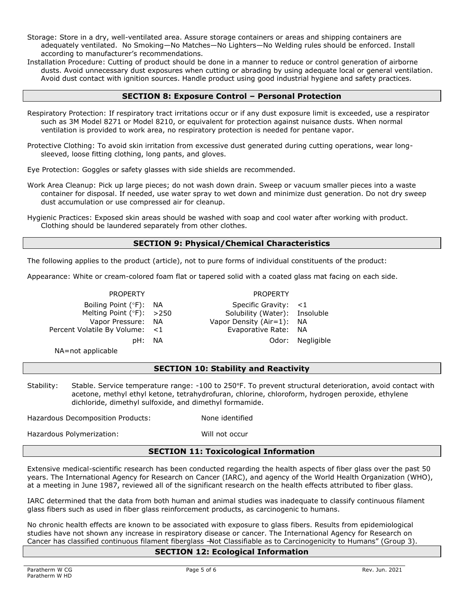Storage: Store in a dry, well-ventilated area. Assure storage containers or areas and shipping containers are adequately ventilated. No Smoking—No Matches—No Lighters—No Welding rules should be enforced. Install according to manufacturer's recommendations.

Installation Procedure: Cutting of product should be done in a manner to reduce or control generation of airborne dusts. Avoid unnecessary dust exposures when cutting or abrading by using adequate local or general ventilation. Avoid dust contact with ignition sources. Handle product using good industrial hygiene and safety practices.

# **SECTION 8: Exposure Control – Personal Protection**

- Respiratory Protection: If respiratory tract irritations occur or if any dust exposure limit is exceeded, use a respirator such as 3M Model 8271 or Model 8210, or equivalent for protection against nuisance dusts. When normal ventilation is provided to work area, no respiratory protection is needed for pentane vapor.
- Protective Clothing: To avoid skin irritation from excessive dust generated during cutting operations, wear longsleeved, loose fitting clothing, long pants, and gloves.

Eye Protection: Goggles or safety glasses with side shields are recommended.

- Work Area Cleanup: Pick up large pieces; do not wash down drain. Sweep or vacuum smaller pieces into a waste container for disposal. If needed, use water spray to wet down and minimize dust generation. Do not dry sweep dust accumulation or use compressed air for cleanup.
- Hygienic Practices: Exposed skin areas should be washed with soap and cool water after working with product. Clothing should be laundered separately from other clothes.

# **SECTION 9: Physical/Chemical Characteristics**

The following applies to the product (article), not to pure forms of individual constituents of the product:

Appearance: White or cream-colored foam flat or tapered solid with a coated glass mat facing on each side.

#### PROPERTY PROPERTY

Boiling Point (°F): NA<br>
Melting Point (°F): >250 Solubility (Water): Insoluble Melting Point  $(°F):$  >250 Solubility (Water): Vapor Pressure: NA Vapor Density (Air=1): NA Percent Volatile By Volume: <1 France Rate: NA pH: NA Odor: Negligible

NA=not applicable

# **SECTION 10: Stability and Reactivity**

Stability: Stable. Service temperature range: -100 to 250°F. To prevent structural deterioration, avoid contact with acetone, methyl ethyl ketone, tetrahydrofuran, chlorine, chloroform, hydrogen peroxide, ethylene dichloride, dimethyl sulfoxide, and dimethyl formamide.

Hazardous Decomposition Products: None identified

Hazardous Polymerization: Will not occur

# **SECTION 11: Toxicological Information**

Extensive medical-scientific research has been conducted regarding the health aspects of fiber glass over the past 50 years. The International Agency for Research on Cancer (IARC), and agency of the World Health Organization (WHO), at a meeting in June 1987, reviewed all of the significant research on the health effects attributed to fiber glass.

IARC determined that the data from both human and animal studies was inadequate to classify continuous filament glass fibers such as used in fiber glass reinforcement products, as carcinogenic to humans.

No chronic health effects are known to be associated with exposure to glass fibers. Results from epidemiological studies have not shown any increase in respiratory disease or cancer. The International Agency for Research on Cancer has classified continuous filament fiberglass -Not Classifiable as to Carcinogenicity to Humans" (Group 3).

#### **SECTION 12: Ecological Information**